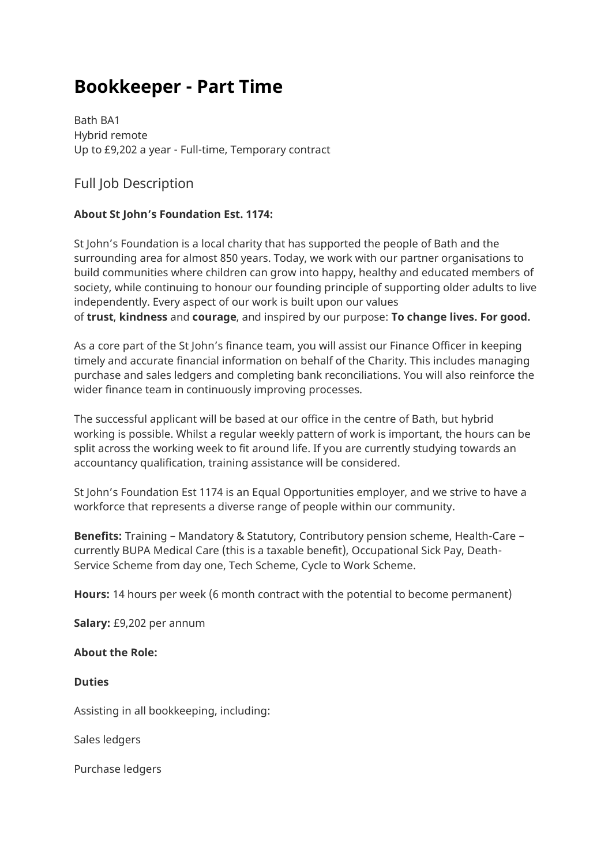# **Bookkeeper - Part Time**

Bath BA1 Hybrid remote Up to £9,202 a year - Full-time, Temporary contract

Full Job Description

## **About St John's Foundation Est. 1174:**

St John's Foundation is a local charity that has supported the people of Bath and the surrounding area for almost 850 years. Today, we work with our partner organisations to build communities where children can grow into happy, healthy and educated members of society, while continuing to honour our founding principle of supporting older adults to live independently. Every aspect of our work is built upon our values of **trust**, **kindness** and **courage**, and inspired by our purpose: **To change lives. For good.**

As a core part of the St John's finance team, you will assist our Finance Officer in keeping timely and accurate financial information on behalf of the Charity. This includes managing purchase and sales ledgers and completing bank reconciliations. You will also reinforce the wider finance team in continuously improving processes.

The successful applicant will be based at our office in the centre of Bath, but hybrid working is possible. Whilst a regular weekly pattern of work is important, the hours can be split across the working week to fit around life. If you are currently studying towards an accountancy qualification, training assistance will be considered.

St John's Foundation Est 1174 is an Equal Opportunities employer, and we strive to have a workforce that represents a diverse range of people within our community.

**Benefits:** Training – Mandatory & Statutory, Contributory pension scheme, Health-Care – currently BUPA Medical Care (this is a taxable benefit), Occupational Sick Pay, Death-Service Scheme from day one, Tech Scheme, Cycle to Work Scheme.

**Hours:** 14 hours per week (6 month contract with the potential to become permanent)

**Salary:** £9,202 per annum

**About the Role:**

**Duties**

Assisting in all bookkeeping, including:

Sales ledgers

Purchase ledgers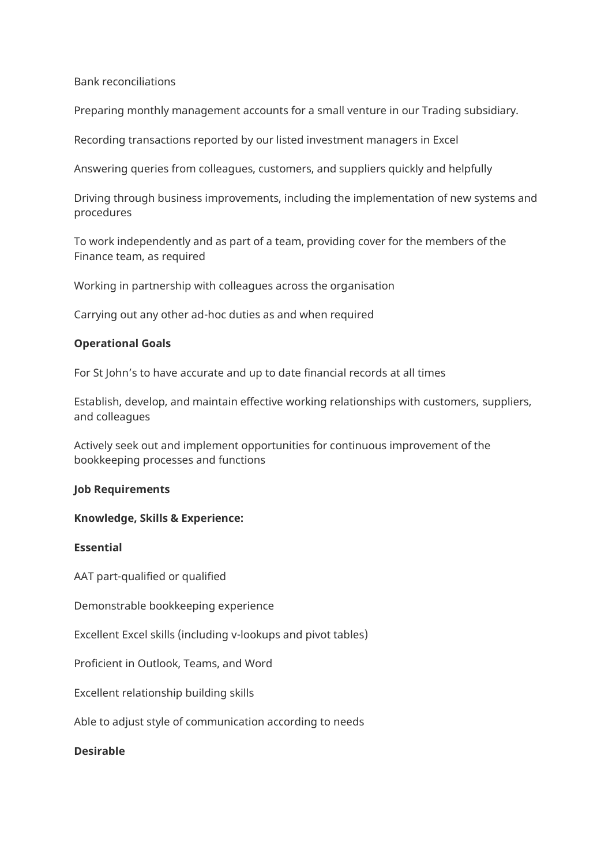Bank reconciliations

Preparing monthly management accounts for a small venture in our Trading subsidiary.

Recording transactions reported by our listed investment managers in Excel

Answering queries from colleagues, customers, and suppliers quickly and helpfully

Driving through business improvements, including the implementation of new systems and procedures

To work independently and as part of a team, providing cover for the members of the Finance team, as required

Working in partnership with colleagues across the organisation

Carrying out any other ad-hoc duties as and when required

#### **Operational Goals**

For St John's to have accurate and up to date financial records at all times

Establish, develop, and maintain effective working relationships with customers, suppliers, and colleagues

Actively seek out and implement opportunities for continuous improvement of the bookkeeping processes and functions

## **Job Requirements**

#### **Knowledge, Skills & Experience:**

## **Essential**

AAT part-qualified or qualified

Demonstrable bookkeeping experience

Excellent Excel skills (including v-lookups and pivot tables)

Proficient in Outlook, Teams, and Word

Excellent relationship building skills

Able to adjust style of communication according to needs

### **Desirable**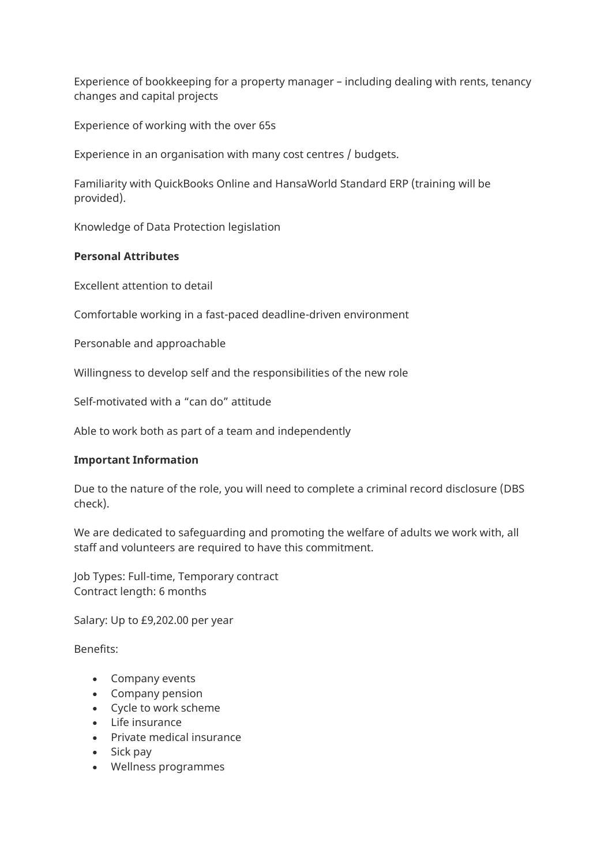Experience of bookkeeping for a property manager – including dealing with rents, tenancy changes and capital projects

Experience of working with the over 65s

Experience in an organisation with many cost centres / budgets.

Familiarity with QuickBooks Online and HansaWorld Standard ERP (training will be provided).

Knowledge of Data Protection legislation

## **Personal Attributes**

Excellent attention to detail

Comfortable working in a fast-paced deadline-driven environment

Personable and approachable

Willingness to develop self and the responsibilities of the new role

Self-motivated with a "can do" attitude

Able to work both as part of a team and independently

## **Important Information**

Due to the nature of the role, you will need to complete a criminal record disclosure (DBS check).

We are dedicated to safeguarding and promoting the welfare of adults we work with, all staff and volunteers are required to have this commitment.

Job Types: Full-time, Temporary contract Contract length: 6 months

Salary: Up to £9,202.00 per year

Benefits:

- Company events
- Company pension
- Cycle to work scheme
- Life insurance
- Private medical insurance
- Sick pay
- Wellness programmes